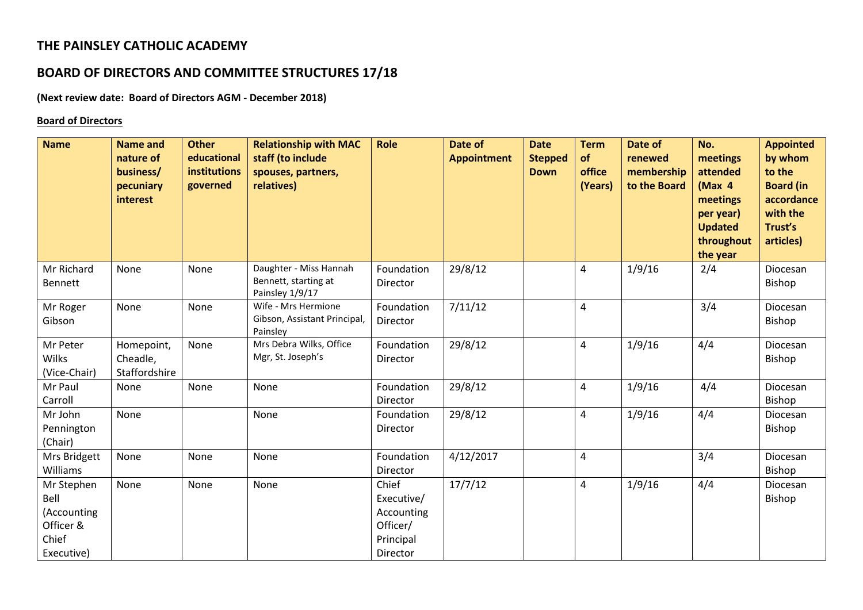# **THE PAINSLEY CATHOLIC ACADEMY**

# **BOARD OF DIRECTORS AND COMMITTEE STRUCTURES 17/18**

## **(Next review date: Board of Directors AGM - December 2018)**

#### **Board of Directors**

| <b>Name</b>                                                           | <b>Name and</b><br>nature of<br>business/<br>pecuniary<br>interest | <b>Other</b><br>educational<br>institutions<br>governed | <b>Relationship with MAC</b><br>staff (to include<br>spouses, partners,<br>relatives) | <b>Role</b>                                                            | Date of<br><b>Appointment</b> | <b>Date</b><br><b>Stepped</b><br><b>Down</b> | <b>Term</b><br>of<br>office<br>(Years) | Date of<br>renewed<br>membership<br>to the Board | No.<br>meetings<br>attended<br>(Max 4<br>meetings<br>per year)<br><b>Updated</b><br>throughout<br>the year | <b>Appointed</b><br>by whom<br>to the<br><b>Board (in</b><br>accordance<br>with the<br>Trust's<br>articles) |
|-----------------------------------------------------------------------|--------------------------------------------------------------------|---------------------------------------------------------|---------------------------------------------------------------------------------------|------------------------------------------------------------------------|-------------------------------|----------------------------------------------|----------------------------------------|--------------------------------------------------|------------------------------------------------------------------------------------------------------------|-------------------------------------------------------------------------------------------------------------|
| Mr Richard<br>Bennett                                                 | None                                                               | None                                                    | Daughter - Miss Hannah<br>Bennett, starting at<br>Painsley 1/9/17                     | Foundation<br>Director                                                 | 29/8/12                       |                                              | 4                                      | 1/9/16                                           | 2/4                                                                                                        | Diocesan<br>Bishop                                                                                          |
| Mr Roger<br>Gibson                                                    | None                                                               | None                                                    | Wife - Mrs Hermione<br>Gibson, Assistant Principal,<br>Painsley                       | Foundation<br>Director                                                 | 7/11/12                       |                                              | 4                                      |                                                  | 3/4                                                                                                        | Diocesan<br>Bishop                                                                                          |
| Mr Peter<br><b>Wilks</b><br>(Vice-Chair)                              | Homepoint,<br>Cheadle,<br>Staffordshire                            | None                                                    | Mrs Debra Wilks, Office<br>Mgr, St. Joseph's                                          | Foundation<br>Director                                                 | 29/8/12                       |                                              | 4                                      | 1/9/16                                           | 4/4                                                                                                        | Diocesan<br>Bishop                                                                                          |
| Mr Paul<br>Carroll                                                    | None                                                               | None                                                    | None                                                                                  | Foundation<br>Director                                                 | 29/8/12                       |                                              | 4                                      | 1/9/16                                           | 4/4                                                                                                        | Diocesan<br>Bishop                                                                                          |
| Mr John<br>Pennington<br>(Chair)                                      | None                                                               |                                                         | None                                                                                  | Foundation<br>Director                                                 | 29/8/12                       |                                              | 4                                      | 1/9/16                                           | 4/4                                                                                                        | Diocesan<br>Bishop                                                                                          |
| Mrs Bridgett<br>Williams                                              | None                                                               | None                                                    | None                                                                                  | Foundation<br>Director                                                 | 4/12/2017                     |                                              | 4                                      |                                                  | 3/4                                                                                                        | Diocesan<br>Bishop                                                                                          |
| Mr Stephen<br>Bell<br>(Accounting<br>Officer &<br>Chief<br>Executive) | None                                                               | None                                                    | None                                                                                  | Chief<br>Executive/<br>Accounting<br>Officer/<br>Principal<br>Director | 17/7/12                       |                                              | 4                                      | 1/9/16                                           | 4/4                                                                                                        | Diocesan<br>Bishop                                                                                          |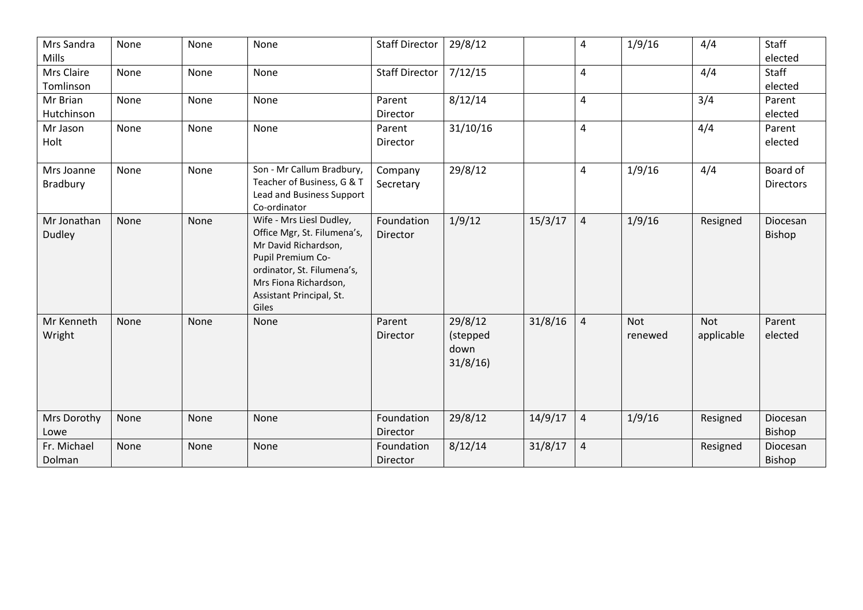| Mrs Sandra<br>Mills     | None | None | None                                                                                                                                                                                             | <b>Staff Director</b>  | 29/8/12                                |         | 4                       | 1/9/16                | 4/4               | Staff<br>elected             |
|-------------------------|------|------|--------------------------------------------------------------------------------------------------------------------------------------------------------------------------------------------------|------------------------|----------------------------------------|---------|-------------------------|-----------------------|-------------------|------------------------------|
| Mrs Claire<br>Tomlinson | None | None | None                                                                                                                                                                                             | <b>Staff Director</b>  | 7/12/15                                |         | $\overline{\mathbf{4}}$ |                       | 4/4               | Staff<br>elected             |
| Mr Brian<br>Hutchinson  | None | None | None                                                                                                                                                                                             | Parent<br>Director     | 8/12/14                                |         | $\overline{4}$          |                       | 3/4               | Parent<br>elected            |
| Mr Jason<br>Holt        | None | None | None                                                                                                                                                                                             | Parent<br>Director     | 31/10/16                               |         | $\overline{4}$          |                       | 4/4               | Parent<br>elected            |
| Mrs Joanne<br>Bradbury  | None | None | Son - Mr Callum Bradbury,<br>Teacher of Business, G & T<br>Lead and Business Support<br>Co-ordinator                                                                                             | Company<br>Secretary   | 29/8/12                                |         | 4                       | 1/9/16                | 4/4               | Board of<br><b>Directors</b> |
| Mr Jonathan<br>Dudley   | None | None | Wife - Mrs Liesl Dudley,<br>Office Mgr, St. Filumena's,<br>Mr David Richardson,<br>Pupil Premium Co-<br>ordinator, St. Filumena's,<br>Mrs Fiona Richardson,<br>Assistant Principal, St.<br>Giles | Foundation<br>Director | 1/9/12                                 | 15/3/17 | $\overline{4}$          | 1/9/16                | Resigned          | Diocesan<br>Bishop           |
| Mr Kenneth<br>Wright    | None | None | None                                                                                                                                                                                             | Parent<br>Director     | 29/8/12<br>(stepped<br>down<br>31/8/16 | 31/8/16 | $\overline{4}$          | <b>Not</b><br>renewed | Not<br>applicable | Parent<br>elected            |
| Mrs Dorothy<br>Lowe     | None | None | None                                                                                                                                                                                             | Foundation<br>Director | 29/8/12                                | 14/9/17 | $\overline{4}$          | 1/9/16                | Resigned          | Diocesan<br>Bishop           |
| Fr. Michael<br>Dolman   | None | None | None                                                                                                                                                                                             | Foundation<br>Director | 8/12/14                                | 31/8/17 | $\overline{4}$          |                       | Resigned          | Diocesan<br><b>Bishop</b>    |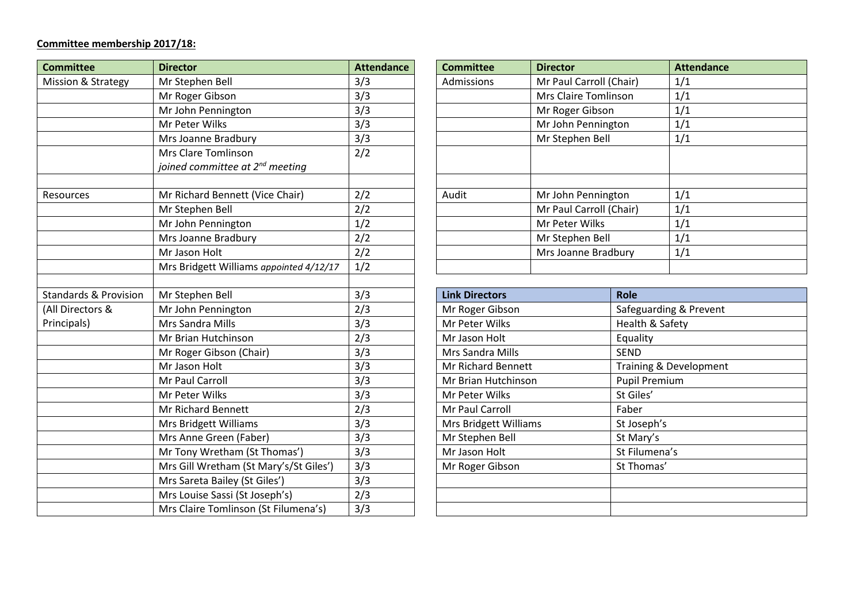#### **Committee membership 2017/18:**

| <b>Committee</b>                 | <b>Director</b>                             | <b>Attendance</b>    |  | <b>Committee</b>             |               | <b>Director</b>         | <b>Attendance</b>      |                        |  |
|----------------------------------|---------------------------------------------|----------------------|--|------------------------------|---------------|-------------------------|------------------------|------------------------|--|
| Mission & Strategy               | Mr Stephen Bell                             | 3/3                  |  | Admissions                   |               | Mr Paul Carroll (Chair) |                        | 1/1                    |  |
|                                  | Mr Roger Gibson                             | 3/3                  |  |                              |               |                         | Mrs Claire Tomlinson   |                        |  |
|                                  | Mr John Pennington                          | 3/3                  |  |                              |               | Mr Roger Gibson         |                        | 1/1                    |  |
|                                  | Mr Peter Wilks                              | 3/3                  |  |                              |               | Mr John Pennington      | 1/1                    |                        |  |
|                                  | Mrs Joanne Bradbury                         | 3/3                  |  |                              |               | Mr Stephen Bell         |                        | 1/1                    |  |
|                                  | <b>Mrs Clare Tomlinson</b>                  | 2/2                  |  |                              |               |                         |                        |                        |  |
|                                  | joined committee at 2 <sup>nd</sup> meeting |                      |  |                              |               |                         |                        |                        |  |
|                                  |                                             |                      |  |                              |               |                         |                        |                        |  |
| Resources                        | Mr Richard Bennett (Vice Chair)             | 2/2                  |  | Audit                        |               | Mr John Pennington      |                        | 1/1                    |  |
|                                  | Mr Stephen Bell                             | 2/2                  |  |                              |               | Mr Paul Carroll (Chair) |                        | 1/1                    |  |
|                                  | Mr John Pennington                          | 1/2                  |  |                              |               | Mr Peter Wilks          |                        | 1/1                    |  |
|                                  | Mrs Joanne Bradbury                         | 2/2                  |  |                              |               | Mr Stephen Bell         | 1/1                    |                        |  |
|                                  | Mr Jason Holt                               | 2/2                  |  |                              |               | Mrs Joanne Bradbury     |                        | 1/1                    |  |
|                                  | Mrs Bridgett Williams appointed 4/12/17     | 1/2                  |  |                              |               |                         |                        |                        |  |
|                                  |                                             |                      |  |                              |               |                         |                        |                        |  |
| <b>Standards &amp; Provision</b> | Mr Stephen Bell                             | 3/3                  |  | <b>Link Directors</b>        |               |                         | <b>Role</b>            |                        |  |
| (All Directors &                 | Mr John Pennington                          | 2/3                  |  | Mr Roger Gibson              |               |                         |                        | Safeguarding & Prevent |  |
| Principals)                      | Mrs Sandra Mills                            | 3/3                  |  | Mr Peter Wilks               |               |                         | Health & Safety        |                        |  |
|                                  | Mr Brian Hutchinson                         | 2/3                  |  | Mr Jason Holt                |               |                         | Equality               |                        |  |
|                                  | Mr Roger Gibson (Chair)                     | 3/3                  |  | Mrs Sandra Mills             |               |                         | <b>SEND</b>            |                        |  |
|                                  | Mr Jason Holt                               | 3/3                  |  | Mr Richard Bennett           |               |                         | Training & Development |                        |  |
|                                  | Mr Paul Carroll                             | 3/3                  |  | Mr Brian Hutchinson          |               |                         | <b>Pupil Premium</b>   |                        |  |
|                                  | Mr Peter Wilks                              | $\overline{3}/3$     |  | Mr Peter Wilks               |               |                         | St Giles'              |                        |  |
|                                  | Mr Richard Bennett                          | 2/3                  |  | Mr Paul Carroll              |               |                         | Faber                  |                        |  |
|                                  | Mrs Bridgett Williams                       | 3/3                  |  | <b>Mrs Bridgett Williams</b> |               |                         | St Joseph's            |                        |  |
|                                  | Mrs Anne Green (Faber)                      | 3/3                  |  | Mr Stephen Bell              |               |                         | St Mary's              |                        |  |
|                                  | Mr Tony Wretham (St Thomas')                | 3/3<br>Mr Jason Holt |  |                              | St Filumena's |                         |                        |                        |  |
|                                  | Mrs Gill Wretham (St Mary's/St Giles')      | 3/3                  |  | Mr Roger Gibson              |               |                         | St Thomas'             |                        |  |
|                                  | Mrs Sareta Bailey (St Giles')               | 3/3                  |  |                              |               |                         |                        |                        |  |
|                                  | Mrs Louise Sassi (St Joseph's)              | 2/3                  |  |                              |               |                         |                        |                        |  |
|                                  | Mrs Claire Tomlinson (St Filumena's)        | 3/3                  |  |                              |               |                         |                        |                        |  |

| <b>Director</b>                             | <b>Attendance</b> | <b>Committee</b> | <b>Director</b>         | <b>Attendance</b> |
|---------------------------------------------|-------------------|------------------|-------------------------|-------------------|
| Mr Stephen Bell                             | 3/3               | Admissions       | Mr Paul Carroll (Chair) | 1/1               |
| Mr Roger Gibson                             | 3/3               |                  | Mrs Claire Tomlinson    | 1/1               |
| Mr John Pennington                          | 3/3               |                  | Mr Roger Gibson         | 1/1               |
| Mr Peter Wilks                              | 3/3               |                  | Mr John Pennington      | 1/1               |
| Mrs Joanne Bradbury                         | 3/3               |                  | Mr Stephen Bell         | 1/1               |
| Mrs Clare Tomlinson                         | 2/2               |                  |                         |                   |
| joined committee at 2 <sup>nd</sup> meeting |                   |                  |                         |                   |
|                                             |                   |                  |                         |                   |
| Mr Richard Bennett (Vice Chair)             | 2/2               | Audit            | Mr John Pennington      | 1/1               |
| Mr Stephen Bell                             | 2/2               |                  | Mr Paul Carroll (Chair) | 1/1               |
| Mr John Pennington                          | 1/2               |                  | Mr Peter Wilks          | 1/1               |
| Mrs Joanne Bradbury                         | 2/2               |                  | Mr Stephen Bell         | 1/1               |
| Mr Jason Holt                               | 2/2               |                  | Mrs Joanne Bradbury     | 1/1               |
| Mrs Bridgett Williams appointed 4/12/17     | 1/2               |                  |                         |                   |
|                                             |                   |                  |                         |                   |

| 3/3 | <b>Link Directors</b> | <b>Role</b>            |
|-----|-----------------------|------------------------|
| 2/3 | Mr Roger Gibson       | Safeguarding & Prevent |
| 3/3 | Mr Peter Wilks        | Health & Safety        |
| 2/3 | Mr Jason Holt         | Equality               |
| 3/3 | Mrs Sandra Mills      | <b>SEND</b>            |
| 3/3 | Mr Richard Bennett    | Training & Development |
| 3/3 | Mr Brian Hutchinson   | <b>Pupil Premium</b>   |
| 3/3 | Mr Peter Wilks        | St Giles'              |
| 2/3 | Mr Paul Carroll       | Faber                  |
| 3/3 | Mrs Bridgett Williams | St Joseph's            |
| 3/3 | Mr Stephen Bell       | St Mary's              |
| 3/3 | Mr Jason Holt         | St Filumena's          |
| 3/3 | Mr Roger Gibson       | St Thomas'             |
| 3/3 |                       |                        |
| 2/3 |                       |                        |
| 3/3 |                       |                        |
|     |                       |                        |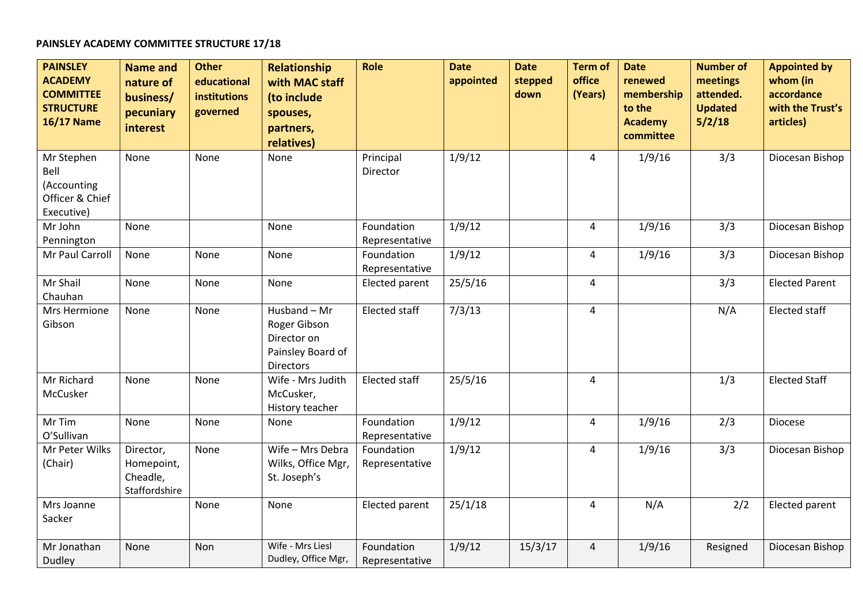## **PAINSLEY ACADEMY COMMITTEE STRUCTURE 17/18**

| <b>PAINSLEY</b><br><b>ACADEMY</b><br><b>COMMITTEE</b><br><b>STRUCTURE</b><br><b>16/17 Name</b> | <b>Name and</b><br>nature of<br>business/<br>pecuniary<br>interest | <b>Other</b><br>educational<br>institutions<br>governed | <b>Relationship</b><br>with MAC staff<br>(to include<br>spouses,<br>partners,<br>relatives) | Role                         | <b>Date</b><br>appointed | <b>Date</b><br>stepped<br>down | <b>Term of</b><br>office<br>(Years) | <b>Date</b><br>renewed<br>membership<br>to the<br><b>Academy</b><br>committee | <b>Number of</b><br>meetings<br>attended.<br><b>Updated</b><br>5/2/18 | <b>Appointed by</b><br>whom (in<br>accordance<br>with the Trust's<br>articles) |
|------------------------------------------------------------------------------------------------|--------------------------------------------------------------------|---------------------------------------------------------|---------------------------------------------------------------------------------------------|------------------------------|--------------------------|--------------------------------|-------------------------------------|-------------------------------------------------------------------------------|-----------------------------------------------------------------------|--------------------------------------------------------------------------------|
| Mr Stephen<br>Bell<br>(Accounting<br>Officer & Chief<br>Executive)                             | None                                                               | <b>None</b>                                             | None                                                                                        | Principal<br>Director        | 1/9/12                   |                                | 4                                   | 1/9/16                                                                        | 3/3                                                                   | Diocesan Bishop                                                                |
| Mr John<br>Pennington                                                                          | None                                                               |                                                         | <b>None</b>                                                                                 | Foundation<br>Representative | 1/9/12                   |                                | $\overline{4}$                      | 1/9/16                                                                        | 3/3                                                                   | Diocesan Bishop                                                                |
| Mr Paul Carroll                                                                                | None                                                               | None                                                    | None                                                                                        | Foundation<br>Representative | 1/9/12                   |                                | $\overline{4}$                      | 1/9/16                                                                        | 3/3                                                                   | Diocesan Bishop                                                                |
| Mr Shail<br>Chauhan                                                                            | None                                                               | None                                                    | None                                                                                        | Elected parent               | 25/5/16                  |                                | $\overline{4}$                      |                                                                               | 3/3                                                                   | <b>Elected Parent</b>                                                          |
| Mrs Hermione<br>Gibson                                                                         | None                                                               | None                                                    | Husband - Mr<br>Roger Gibson<br>Director on<br>Painsley Board of<br><b>Directors</b>        | <b>Elected staff</b>         | 7/3/13                   |                                | $\overline{4}$                      |                                                                               | N/A                                                                   | Elected staff                                                                  |
| Mr Richard<br>McCusker                                                                         | None                                                               | None                                                    | Wife - Mrs Judith<br>McCusker,<br>History teacher                                           | Elected staff                | 25/5/16                  |                                | $\overline{4}$                      |                                                                               | 1/3                                                                   | <b>Elected Staff</b>                                                           |
| Mr Tim<br>O'Sullivan                                                                           | None                                                               | None                                                    | None                                                                                        | Foundation<br>Representative | 1/9/12                   |                                | $\overline{4}$                      | 1/9/16                                                                        | 2/3                                                                   | Diocese                                                                        |
| Mr Peter Wilks<br>(Chair)                                                                      | Director,<br>Homepoint,<br>Cheadle,<br>Staffordshire               | None                                                    | Wife - Mrs Debra<br>Wilks, Office Mgr,<br>St. Joseph's                                      | Foundation<br>Representative | 1/9/12                   |                                | $\overline{4}$                      | 1/9/16                                                                        | 3/3                                                                   | Diocesan Bishop                                                                |
| Mrs Joanne<br>Sacker                                                                           |                                                                    | None                                                    | None                                                                                        | Elected parent               | 25/1/18                  |                                | $\overline{4}$                      | N/A                                                                           | 2/2                                                                   | Elected parent                                                                 |
| Mr Jonathan<br><b>Dudley</b>                                                                   | None                                                               | Non                                                     | Wife - Mrs Liesl<br>Dudley, Office Mgr,                                                     | Foundation<br>Representative | 1/9/12                   | 15/3/17                        | $\overline{4}$                      | 1/9/16                                                                        | Resigned                                                              | Diocesan Bishop                                                                |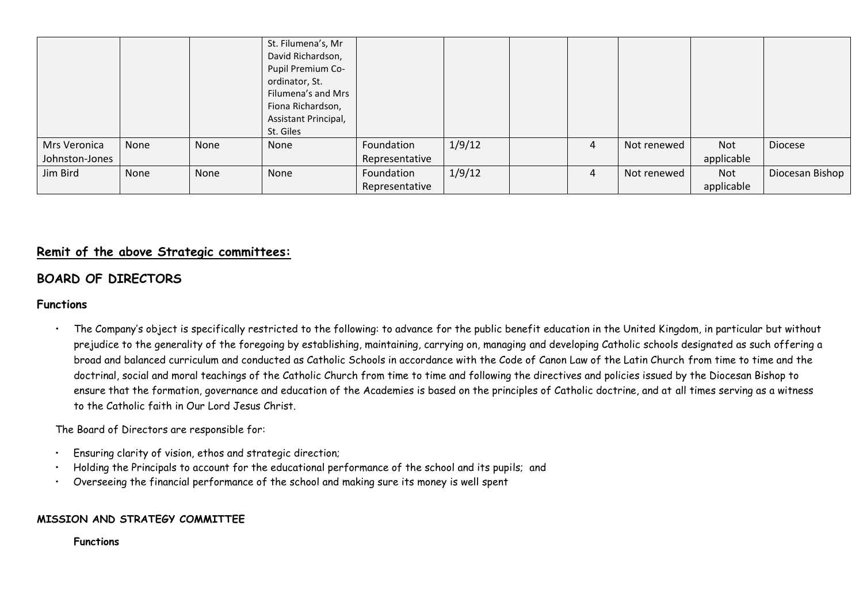|                |      |      | St. Filumena's, Mr   |                |        |   |             |            |                 |
|----------------|------|------|----------------------|----------------|--------|---|-------------|------------|-----------------|
|                |      |      | David Richardson,    |                |        |   |             |            |                 |
|                |      |      | Pupil Premium Co-    |                |        |   |             |            |                 |
|                |      |      | ordinator, St.       |                |        |   |             |            |                 |
|                |      |      | Filumena's and Mrs   |                |        |   |             |            |                 |
|                |      |      | Fiona Richardson,    |                |        |   |             |            |                 |
|                |      |      | Assistant Principal, |                |        |   |             |            |                 |
|                |      |      | St. Giles            |                |        |   |             |            |                 |
| Mrs Veronica   | None | None | None                 | Foundation     | 1/9/12 | 4 | Not renewed | Not        | Diocese         |
| Johnston-Jones |      |      |                      | Representative |        |   |             | applicable |                 |
| Jim Bird       | None | None | None                 | Foundation     | 1/9/12 | 4 | Not renewed | Not        | Diocesan Bishop |
|                |      |      |                      | Representative |        |   |             | applicable |                 |

## **Remit of the above Strategic committees:**

# **BOARD OF DIRECTORS**

## **Functions**

• The Company's object is specifically restricted to the following: to advance for the public benefit education in the United Kingdom, in particular but without prejudice to the generality of the foregoing by establishing, maintaining, carrying on, managing and developing Catholic schools designated as such offering a broad and balanced curriculum and conducted as Catholic Schools in accordance with the Code of Canon Law of the Latin Church from time to time and the doctrinal, social and moral teachings of the Catholic Church from time to time and following the directives and policies issued by the Diocesan Bishop to ensure that the formation, governance and education of the Academies is based on the principles of Catholic doctrine, and at all times serving as a witness to the Catholic faith in Our Lord Jesus Christ.

The Board of Directors are responsible for:

- Ensuring clarity of vision, ethos and strategic direction;
- Holding the Principals to account for the educational performance of the school and its pupils; and
- Overseeing the financial performance of the school and making sure its money is well spent

## **MISSION AND STRATEGY COMMITTEE**

**Functions**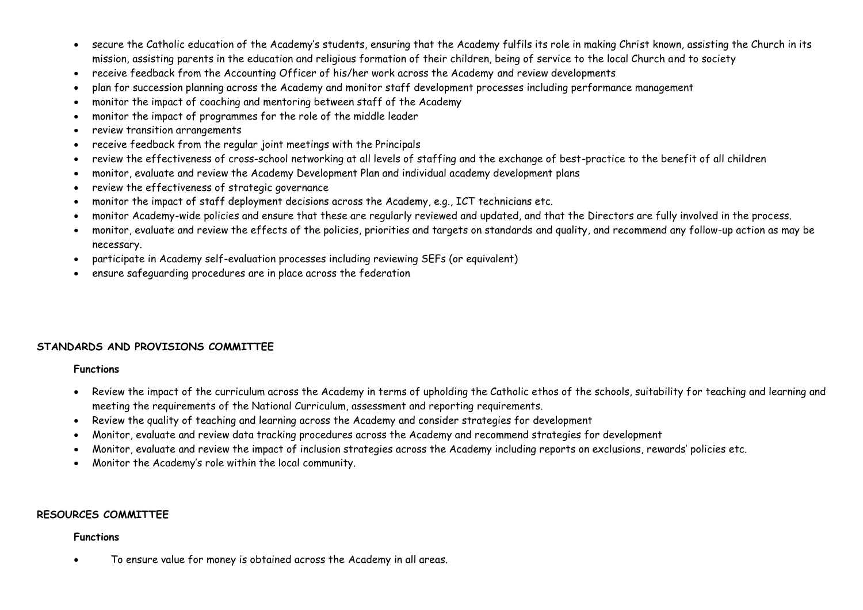- secure the Catholic education of the Academy's students, ensuring that the Academy fulfils its role in making Christ known, assisting the Church in its mission, assisting parents in the education and religious formation of their children, being of service to the local Church and to society
- receive feedback from the Accounting Officer of his/her work across the Academy and review developments
- plan for succession planning across the Academy and monitor staff development processes including performance management
- monitor the impact of coaching and mentoring between staff of the Academy
- monitor the impact of programmes for the role of the middle leader
- review transition arrangements
- receive feedback from the regular joint meetings with the Principals
- review the effectiveness of cross-school networking at all levels of staffing and the exchange of best-practice to the benefit of all children
- monitor, evaluate and review the Academy Development Plan and individual academy development plans
- review the effectiveness of strategic governance
- monitor the impact of staff deployment decisions across the Academy, e.g., ICT technicians etc.
- monitor Academy-wide policies and ensure that these are regularly reviewed and updated, and that the Directors are fully involved in the process.
- monitor, evaluate and review the effects of the policies, priorities and targets on standards and quality, and recommend any follow-up action as may be necessary.
- participate in Academy self-evaluation processes including reviewing SEFs (or equivalent)
- ensure safeguarding procedures are in place across the federation

## **STANDARDS AND PROVISIONS COMMITTEE**

#### **Functions**

- Review the impact of the curriculum across the Academy in terms of upholding the Catholic ethos of the schools, suitability for teaching and learning and meeting the requirements of the National Curriculum, assessment and reporting requirements.
- Review the quality of teaching and learning across the Academy and consider strategies for development
- Monitor, evaluate and review data tracking procedures across the Academy and recommend strategies for development
- Monitor, evaluate and review the impact of inclusion strategies across the Academy including reports on exclusions, rewards' policies etc.
- Monitor the Academy's role within the local community.

## **RESOURCES COMMITTEE**

#### **Functions**

To ensure value for money is obtained across the Academy in all areas.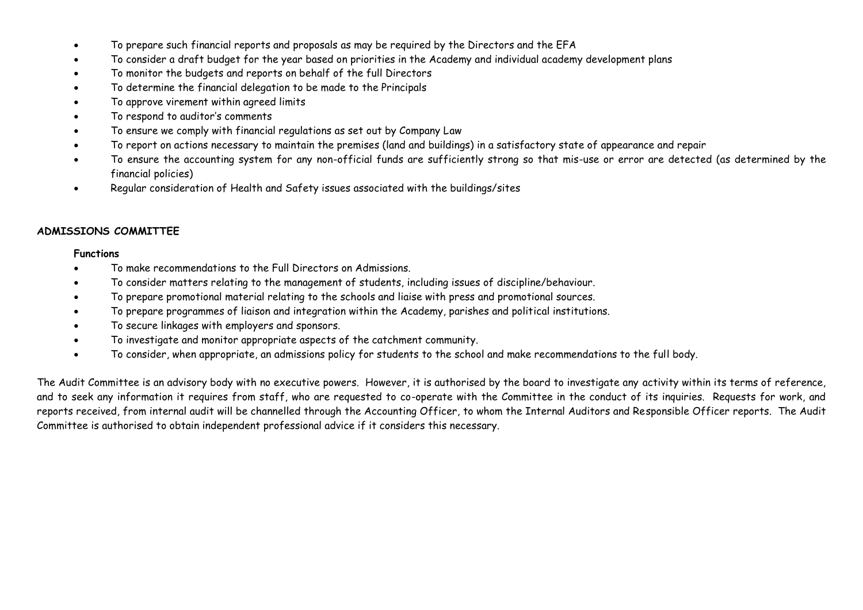- To prepare such financial reports and proposals as may be required by the Directors and the EFA
- To consider a draft budget for the year based on priorities in the Academy and individual academy development plans
- To monitor the budgets and reports on behalf of the full Directors
- To determine the financial delegation to be made to the Principals
- To approve virement within agreed limits
- To respond to auditor's comments
- To ensure we comply with financial regulations as set out by Company Law
- To report on actions necessary to maintain the premises (land and buildings) in a satisfactory state of appearance and repair
- To ensure the accounting system for any non-official funds are sufficiently strong so that mis-use or error are detected (as determined by the financial policies)
- Regular consideration of Health and Safety issues associated with the buildings/sites

## **ADMISSIONS COMMITTEE**

#### **Functions**

- To make recommendations to the Full Directors on Admissions.
- To consider matters relating to the management of students, including issues of discipline/behaviour.
- To prepare promotional material relating to the schools and liaise with press and promotional sources.
- To prepare programmes of liaison and integration within the Academy, parishes and political institutions.
- To secure linkages with employers and sponsors.
- To investigate and monitor appropriate aspects of the catchment community.
- To consider, when appropriate, an admissions policy for students to the school and make recommendations to the full body.

The Audit Committee is an advisory body with no executive powers. However, it is authorised by the board to investigate any activity within its terms of reference, and to seek any information it requires from staff, who are requested to co-operate with the Committee in the conduct of its inquiries. Requests for work, and reports received, from internal audit will be channelled through the Accounting Officer, to whom the Internal Auditors and Responsible Officer reports. The Audit Committee is authorised to obtain independent professional advice if it considers this necessary.